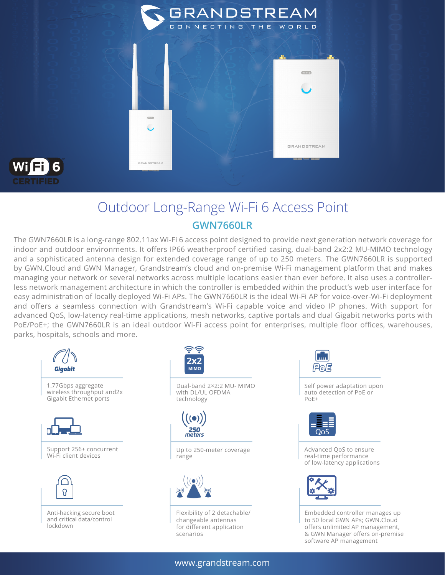



## Outdoor Long-Range Wi-Fi 6 Access Point **GWN7660LR**

The GWN7660LR is a long-range 802.11ax Wi-Fi 6 access point designed to provide next generation network coverage for indoor and outdoor environments. It offers IP66 weatherproof certified casing, dual-band 2x2:2 MU-MIMO technology and a sophisticated antenna design for extended coverage range of up to 250 meters. The GWN7660LR is supported by GWN.Cloud and GWN Manager, Grandstream's cloud and on-premise Wi-Fi management platform that and makes managing your network or several networks across multiple locations easier than ever before. It also uses a controllerless network management architecture in which the controller is embedded within the product's web user interface for easy administration of locally deployed Wi-Fi APs. The GWN7660LR is the ideal Wi-Fi AP for voice-over-Wi-Fi deployment and offers a seamless connection with Grandstream's Wi-Fi capable voice and video IP phones. With support for advanced QoS, low-latency real-time applications, mesh networks, captive portals and dual Gigabit networks ports with PoE/PoE+; the GWN7660LR is an ideal outdoor Wi-Fi access point for enterprises, multiple floor offices, warehouses, parks, hospitals, schools and more.





Dual-band 2×2:2 MU- MIMO with DL/UL OFDMA technology



Up to 250-meter coverage



Flexibility of 2 detachable/ changeable antennas for different application scenarios





Advanced QoS to ensure real-time performance of low-latency applications



Embedded controller manages up to 50 local GWN APs; GWN.Cloud offers unlimited AP management, & GWN Manager offers on-premise software AP management

www.grandstream.com